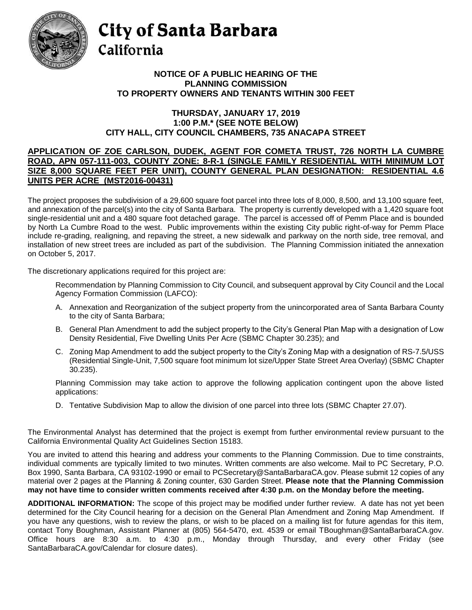

## City of Santa Barbara California

## **NOTICE OF A PUBLIC HEARING OF THE PLANNING COMMISSION TO PROPERTY OWNERS AND TENANTS WITHIN 300 FEET**

## **THURSDAY, JANUARY 17, 2019 1:00 P.M.\* (SEE NOTE BELOW) CITY HALL, CITY COUNCIL CHAMBERS, 735 ANACAPA STREET**

## **APPLICATION OF ZOE CARLSON, DUDEK, AGENT FOR COMETA TRUST, 726 NORTH LA CUMBRE ROAD, APN 057-111-003, COUNTY ZONE: 8-R-1 (SINGLE FAMILY RESIDENTIAL WITH MINIMUM LOT SIZE 8,000 SQUARE FEET PER UNIT), COUNTY GENERAL PLAN DESIGNATION: RESIDENTIAL 4.6 UNITS PER ACRE (MST2016-00431)**

The project proposes the subdivision of a 29,600 square foot parcel into three lots of 8,000, 8,500, and 13,100 square feet, and annexation of the parcel(s) into the city of Santa Barbara. The property is currently developed with a 1,420 square foot single-residential unit and a 480 square foot detached garage. The parcel is accessed off of Pemm Place and is bounded by North La Cumbre Road to the west. Public improvements within the existing City public right-of-way for Pemm Place include re-grading, realigning, and repaving the street, a new sidewalk and parkway on the north side, tree removal, and installation of new street trees are included as part of the subdivision. The Planning Commission initiated the annexation on October 5, 2017.

The discretionary applications required for this project are:

Recommendation by Planning Commission to City Council, and subsequent approval by City Council and the Local Agency Formation Commission (LAFCO):

- A. Annexation and Reorganization of the subject property from the unincorporated area of Santa Barbara County to the city of Santa Barbara;
- B. General Plan Amendment to add the subject property to the City's General Plan Map with a designation of Low Density Residential, Five Dwelling Units Per Acre (SBMC Chapter 30.235); and
- C. Zoning Map Amendment to add the subject property to the City's Zoning Map with a designation of RS-7.5/USS (Residential Single-Unit, 7,500 square foot minimum lot size/Upper State Street Area Overlay) (SBMC Chapter 30.235).

Planning Commission may take action to approve the following application contingent upon the above listed applications:

D. Tentative Subdivision Map to allow the division of one parcel into three lots (SBMC Chapter 27.07).

The Environmental Analyst has determined that the project is exempt from further environmental review pursuant to the California Environmental Quality Act Guidelines Section 15183.

You are invited to attend this hearing and address your comments to the Planning Commission. Due to time constraints, individual comments are typically limited to two minutes. Written comments are also welcome. Mail to PC Secretary, P.O. Box 1990, Santa Barbara, CA 93102-1990 or email to [PCSecretary@SantaBarbaraCA.gov.](mailto:PCSecretary@SantaBarbaraCA.gov) Please submit 12 copies of any material over 2 pages at the Planning & Zoning counter, 630 Garden Street. **Please note that the Planning Commission may not have time to consider written comments received after 4:30 p.m. on the Monday before the meeting.**

**ADDITIONAL INFORMATION:** The scope of this project may be modified under further review. A date has not yet been determined for the City Council hearing for a decision on the General Plan Amendment and Zoning Map Amendment. If you have any questions, wish to review the plans, or wish to be placed on a mailing list for future agendas for this item, contact Tony Boughman, Assistant Planner at (805) 564-5470, ext. 4539 or email TBoughman@SantaBarbaraCA.gov. Office hours are 8:30 a.m. to 4:30 p.m., Monday through Thursday, and every other Friday (see [SantaBarbaraCA.gov/Calendar](http://www.santabarbaraca.gov/cals/default.asp) for closure dates).